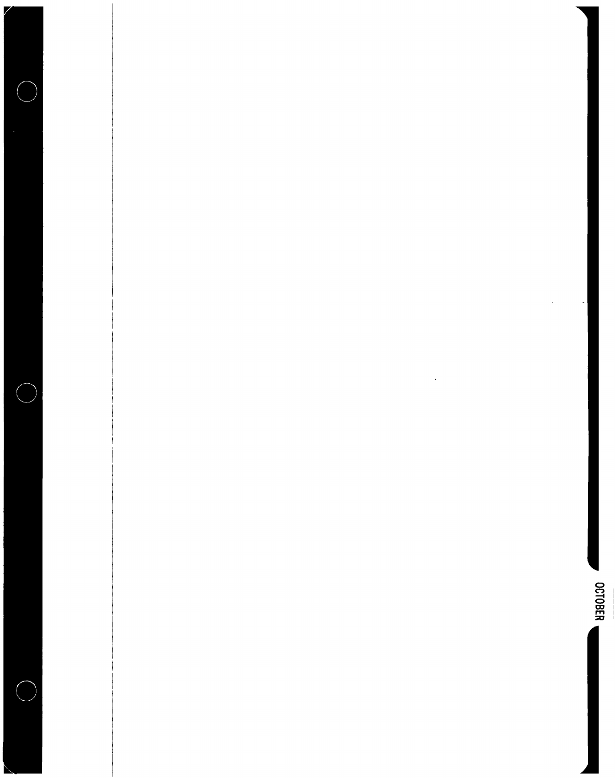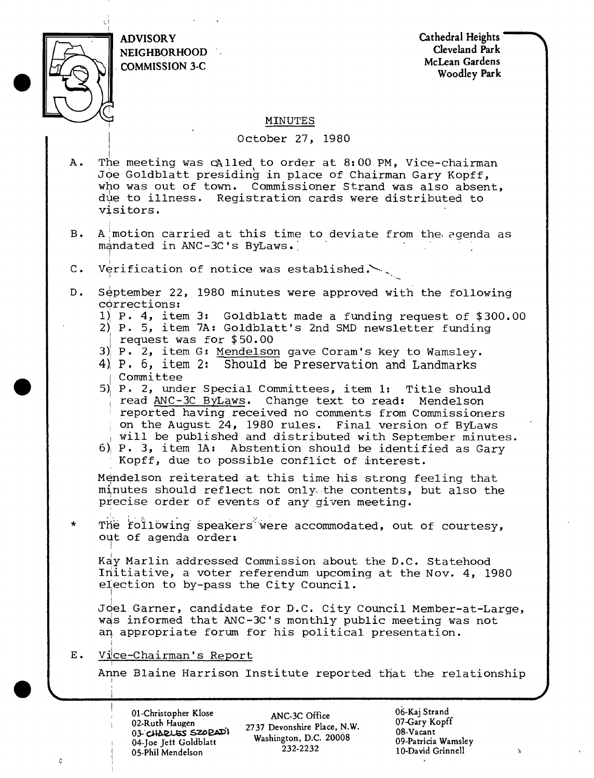

ADVISORY NEIGHBORHOOD COMMISSION 3-C

Cathedral Heights Cleveland Park McLean Gardens Woodley Park

### MINUTES

#### October 27, 1980

- A. The meeting was cAlled to order at 8:00 PM, Vice-chairman Joe Goldblatt presiding in place of Chairman Gary Kopff, who was out of town. Commissioner Strand was also absent, due to illness. Registration cards were distributed to visitors.
- B. A motion carried at this time to deviate from the agenda as mandated in ANC-3C's ByLaws.
- C. Verification of notice was established.  $\sim$  .
- D. September 22, 1980 minutes were approved with the following corrections:
	- 1} P. 4, item 3: Goldblatt made a funding reguest of \$300.00
	- 2) P. 5, item 7A: Goldblatt's 2nd SMD newsletter funding <sup>|</sup> request was for \$50.00
	- 3)| P. 2, item G: Mendelson gave Coram's key to Wamsley.
	- 4} P. 6, item 2: Should be Preservation and Landmarks <sup>|</sup> Committee
	- 5)| P. 2, under Special Committees, item 1: Title should read ANC-3C ByLaws. Change text to read: Mendelson reported having received no comments from Commissioners on the August 24, 1980 rules. Final version of ByLaws will be published and distributed with September minutes.
	- $6$ ) P. 3, item lA: Abstention should be identified as Gary Kopff, due to possible conflict of interest.

Mendelson reiterated at this time his strong feeling that minutes should reflect not only\* the contents, but also the precise order of events of any given meeting.

\* The following' speakers' were accommodated, out of courtesy, out of agenda order:

Kay Marlin addressed Commission about the D.C. Statehood Initiative, <sup>a</sup> voter referendum upcoming at the Nov. 4, <sup>1980</sup> election to by-pass the City Council.

Joel Garner, candidate for D.C. City Council Member-at-Large, was informed that ANC-3C's monthly public meeting was not an appropriate forum for his political presentation.

E. Vice-Chairman's Report

i

I

Ò

Anne Blaine Harrison Institute reported that the relationship

01-Christopher Klose 02-Ruth Haugen 03- CJ4&£CSS S"Z£>EAD'l 04-Joe Jett Goldblatt 05-PHil Mendelson

ANC-3C Office 2737 Devonshire Place, N.W. Washington, D.C. 20008 232-2232

06-Kaj Strand 07-Gary Kopff 08-Vacant 09-Patricia Wamsley 10-David Grinnell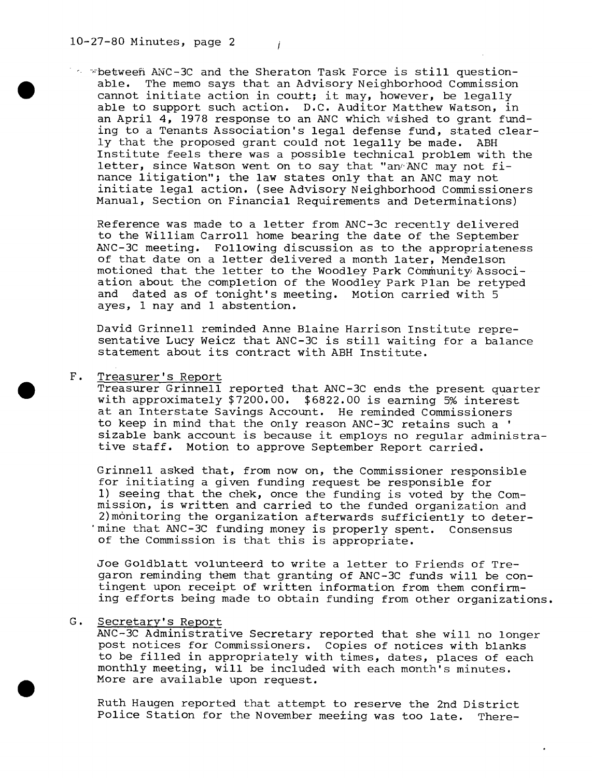$\sim$   $\sim$  between ANC-3C and the Sheraton Task Force is still questionable. The memo says that an Advisory Neighborhood Commission cannot initiate action in coutt; it may, however, be legally able to support such action. D.C. Auditor Matthew Watson, in an April 4, 1978 response to an ANC which wished to grant funding to a Tenants Association's legal defense fund, stated clearly that the proposed grant could not legally be made. ABH Institute feels there was <sup>a</sup> possible technical problem with the letter, since Watson went on to say that "an"ANC may not finance litigation"; the law states only that an ANC may not initiate legal action, (see Advisory Neighborhood Commissioners Manual, Section on Financial Requirements and Determinations)

Reference was made to <sup>a</sup> letter from ANC-3c recently delivered to the William Carroll home bearing the date of the September ANC-3C meeting. Following discussion as to the appropriateness of that date on a letter delivered a month later, Mendelson motioned that the letter to the Woodley Park Community Association about the completion of the Woodley Park Plan be retyped and dated as of tonight's meeting. Motion carried with <sup>5</sup> ayes, <sup>1</sup> nay and <sup>1</sup> abstention.

David Grinnell reminded Anne Blaine Harrison Institute representative Lucy Weicz that ANC-3C is still waiting for <sup>a</sup> balance statement about its contract with ABH Institute.

#### F. Treasurer's Report

Treasurer Grinnell reported that ANC-3C ends the present quarter with approximately \$7200.00. \$6822.00 is earning 5% interest at an Interstate Savings Account. He reminded Commissioners to keep in mind that the only reason ANC-3C retains such a ' sizable bank account is because it employs no regular administrative staff. Motion to approve September Report carried.

Grinnell asked that, from now on, the Commissioner responsible for initiating <sup>a</sup> given funding request be responsible for 1) seeing that the chek, once the funding is voted by the Commission, is written and carried to the funded organization and 2)monitoring the organization afterwards sufficiently to deter mine that ANC-3C funding money is properly spent. Consensus of the Commission is that this is appropriate.

Joe Goldblatt volunteerd to write <sup>a</sup> letter to Friends of Tregaron reminding them that granting of ANC-3C funds will be contingent upon receipt of written information from them confirming efforts being made to obtain funding from other organizations.

#### G. Secretary's Report

ANC-3C Administrative Secretary reported that she will no longer post notices for Commissioners. Copies of notices with blanks to be filled in appropriately with times, dates, places of each monthly meeting, will be included with each month's minutes. More are available upon request.

Ruth Haugen reported that attempt to reserve the 2nd District Police Station for the November meeting was too late. There-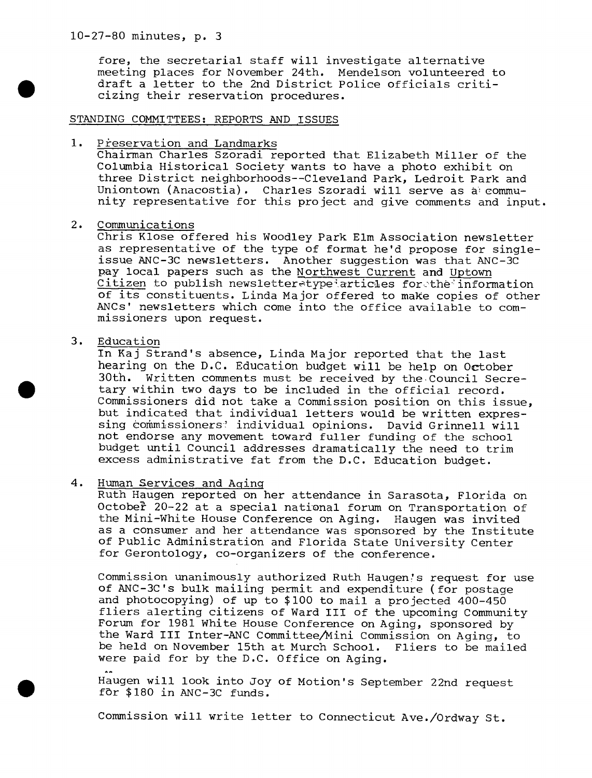fore, the secretarial staff will investigate alternative meeting places for November 24th. Mendelson volunteered to draft <sup>a</sup> letter to the 2nd District Police officials criticizing their reservation procedures.

### STANDING COMMITTEES: REPORTS AND ISSUES

#### 1. Preservation and Landmarks

Chairman Charles Szoradi reported that Elizabeth Miller of the Columbia Historical Society wants to have a photo exhibit on three District neighborhoods—Cleveland Park, Ledroit Park and Uniontown (Anacostia). Charles Szoradi will serve as community representative for this project and give comments and input.

### 2. Communications

Chris Klose offered his Woodley Park Elm Association newsletter as representative of the type of format he'd propose for singleissue ANC-3C newsletters. Another suggestion was that ANC-3C pay local papers such as the Northwest Current and Uptown pay local papers such as the <u>Northwest Current</u> and Uptown<br>Citizen to publish newsletter type articles for the information of its constituents. Linda Major offered to make copies of other ANCs' newsletters which come into the office available to commissioners upon request.

## 3. Education

In Kaj Strand's absence, Linda Major reported that the last hearing on the D.C. Education budget will be help on October 30th. Written comments must be received by the Council Secretary within two days to be included in the official record. Commissioners did not take a Commission position on this issue, but indicated that individual letters would be written expressing commissioners' individual opinions. David Grinnell will not endorse any movement toward fuller funding of the school budget until Council addresses dramatically the need to trim excess administrative fat from the D.C. Education budget.

### 4. Human Services and Aging

Ruth Haugen reported on her attendance in Sarasota, Florida on October 20-22 at a special national forum on Transportation of the Mini-White House Conference on Aging. Haugen was invited as <sup>a</sup> consumer and her attendance was sponsored by the Institute of Public Administration and Florida State University Center for Gerontology, co-organizers of the conference.

Commission unanimously authorized Ruth Haugen's request for use of ANC-3C's bulk mailing permit and expenditure (for postage and photocopying) of up to \$100 to mail a projected 400-450 fliers alerting citizens of Ward III of the upcoming Community Forum for 1981 White House Conference on Aging, sponsored by the Ward III Inter-ANC Committee/Mini Commission on Aging, to be held on November 15th at Murch School. Fliers to be mailed were paid for by the D.C. Office on Aging.

Haugen will look into Joy of Motion's September 22nd request for \$180 in ANC-3C funds.

Commission will write letter to Connecticut Ave./Ordway St.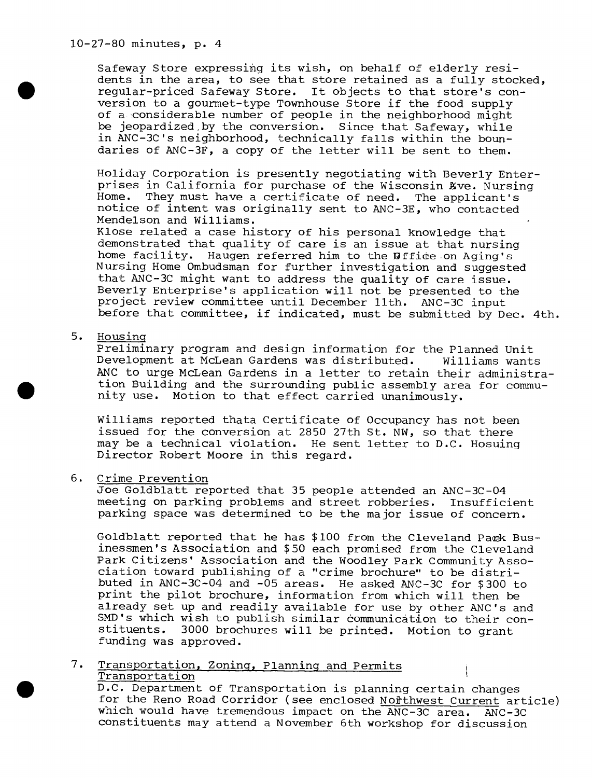10-27-80 minutes, p. 4

Safeway Store expressing its wish, on behalf of elderly residents in the area, to see that store retained as a fully stocked, regular-priced Safeway Store. It objects to that store's conversion to <sup>a</sup> gourmet-type Townhouse Store if the food supply of a- considerable number of people in the neighborhood might be jeopardized,by the conversion. Since that Safeway, while in ANC-3C's neighborhood, technically falls within the boundaries of ANC-3F, <sup>a</sup> copy of the letter will be sent to them.

Holiday Corporation is presently negotiating with Beverly Enterprises in California for purchase of the Wisconsin Kve. Nursing Home. They must have <sup>a</sup> certificate of need. The applicant's notice of intent was originally sent to ANC-3E, who contacted Mendelson and Williams.

Klose related a case history of his personal knowledge that demonstrated that quality of care is an issue at that nursing home facility. Haugen referred him to the Diffice on Aging's Nursing Home Ombudsman for further investigation and suggested that ANC-3C might want to address the quality of care issue. Beverly Enterprise's application will not be presented to the project review committee until December 11th. ANC-3C input before that committee, if indicated, must be submitted by Dec. 4th.

5. Housing

Preliminary program and design information for the Planned Unit Development at McLean Gardens was distributed. Williams wants ANC to urge McLean Gardens in <sup>a</sup> letter to retain their administration Building and the surrounding public assembly area for community use. Motion to that effect carried unanimously.

Williams reported thata Certificate of Occupancy has not been issued for the conversion at 2850 27th St. NW, so that there may be <sup>a</sup> technical violation. He sent letter to D.C. Hosuing Director Robert Moore in this regard.

#### 6. Crime Prevention

Joe Goldblatt reported that 35 people attended an ANC-3C-04 meeting on parking problems and street robberies. Insufficient parking space was determined to be the major issue of concern.

Goldblatt reported that he has \$100 from the Cleveland Park Businessmen's Association and \$50 each promised from the Cleveland Park Citizens' Association and the Woodley Park Community Association toward publishing of <sup>a</sup> "crime brochure" to be distributed in ANC-3C-04 and -05 areas. He asked ANC-3C for \$300 to print the pilot brochure, information from which will then be already set up and readily available for use by other ANC's and SMD's which wish to publish similar communication to their constituents. 3000 brochures will be printed. Motion to grant funding was approved.

# 7. Transportation, Zoning, Planning and Permits Transportation

D.C. Department of Transportation is planning certain changes for the Reno Road Corridor (see enclosed Nothl Nest Current article)<br>which would have tremendous impact on the ANC-3C area. ANC-3C which would have tremendous impact on the ANC-3C area. constituents may attend a November 6th workshop for discussion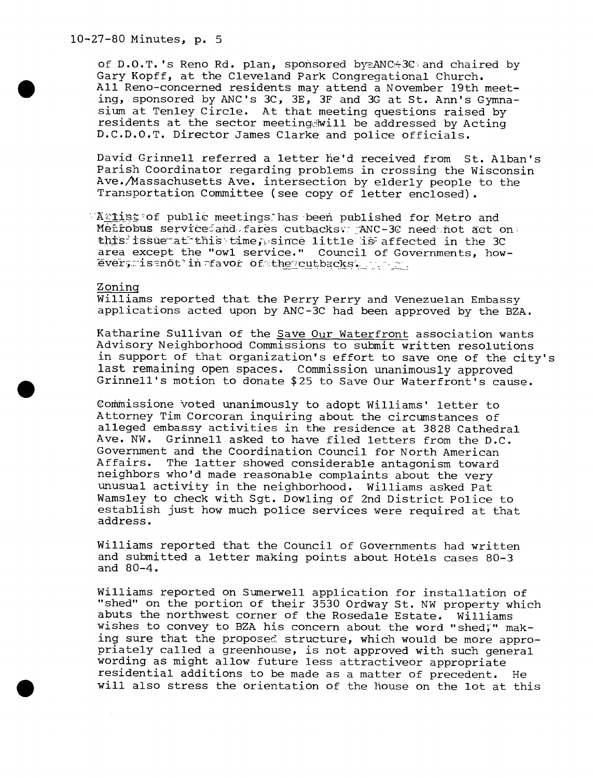-27-80 Minutes, p. 5

of  $D.0.T.$  's Reno Rd. plan, sponsored by ANC+3C and chaired by Gary Kopff, at the Cleveland Park Congregational Church. All Reno-concerned residents may attend a November 19th meeting, sponsored by ANC's 3C, 3E, 3F and 3G at St. Ann's Gymnasium at Tenley Circle. At that meeting guestions raised by residents at the sector meeting will be addressed by Acting D.C.D.O.T. Director James Clarke and police officials.

David Grinnell referred <sup>a</sup> letter he'd received from St. Alban's Parish Coordinator regarding problems in crossing the Wisconsin Ave./Massachusetts Ave. intersection by elderly people to the Transportation Committee (see copy of letter enclosed).

 $\forall X \in \mathbb{R}$  and  $X \in \mathbb{R}$  are meetings; has been published for Metro and Metrobus service and fares cutbacks: ANC-3C need not act on this issue at this time, since little is affected in the 3C area except the "owl service." Council of Governments, howarea except the "owl service." Council of Go<br>evergilsenot'in favor of th<u>eycu</u>tbacks

Zoning

Williams reported that the Perry Perry and Venezuelan Embassy applications acted upon by ANC-3C had been approved by the BZA.

Katharine Sullivan of the Save Our Waterfront association wants Advisory Neighborhood Commissions to submit written resolutions in support of that organization's effort to save one of the city' last remaining open spaces. Commission unanimously approved Grinnell's motion to donate \$25 to Save Our Waterfront's cause.

Gommissione voted unanimously to adopt Williams' letter to Attorney Tim Corcoran inquiring about the circumstances of alleged embassy activities in the residence at 3828 Cathedral Ave. NW. Grinnell asked to have filed letters from the D.C. Government and the Coordination Council for North American<br>Affairs, The latter showed considerable antagonism toward The latter showed considerable antagonism toward neighbors who'd made reasonable complaints about the very unusual activity in the neighborhood. Williams asked Pat Wamsley to check with Sgt. Dowling of 2nd District Police to establish just how much police services were required at that address.

Williams reported that the Council of Governments had written and submitted <sup>a</sup> letter making points about Hotels cases 80-3 and 80-4.

Williams reported on Sumerwell application for installation of "shed" on the portion of their 3530 Ordway St. NW property which abuts the northwest corner of the Rosedale Estate. Williams wishes to convey to BZA his concern about the word "shed;" making sure that the proposed structure, which would be more appropriately called <sup>a</sup> greenhouse, is not approved with such general wording as might allow future less attractiveor appropriate residential additions to be made as a matter of precedent. He will also stress the orientation of the house on the lot at this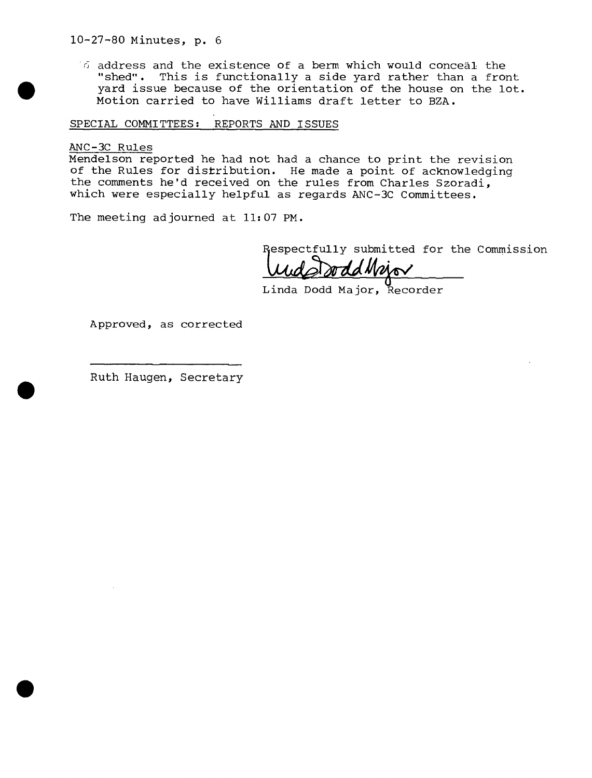$\delta$  address and the existence of a berm which would conceal the "shed". This is functionally <sup>a</sup> side yard rather than <sup>a</sup> front yard issue because of the orientation of the house on the lot. Motion carried to have Williams draft letter to BZA.

SPECIAL COMMITTEES: REPORTS AND ISSUES

ANC-3C Rules

Mendelson reported he had not had a chance to print the revision of the Rules for distribution. He made a point of acknowledging the comments he'd received on the rules from Charles Szoradi, which were especially helpful as regards ANC-3C Committees.

The meeting adjourned at 11:07 PM.

Respectfully submitted for the Commission<br> **Und And Mois** 

Linda Dodd Major, Recorder

Approved, as corrected

Ruth Haugen, Secretary